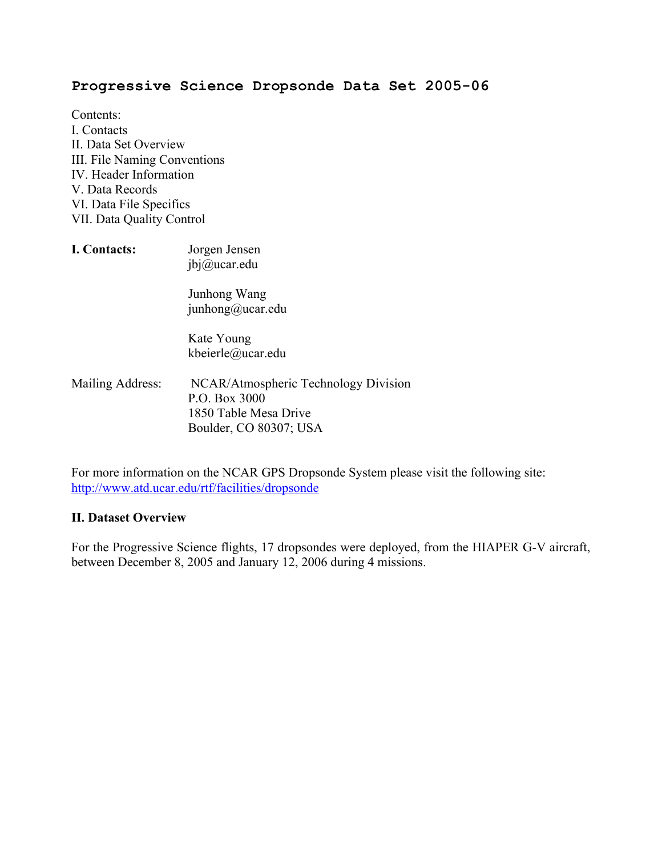## **Progressive Science Dropsonde Data Set 2005-06**

- Contents: I. Contacts II. Data Set Overview III. File Naming Conventions IV. Header Information V. Data Records VI. Data File Specifics VII. Data Quality Control
- **I. Contacts:** Jorgen Jensen jbj@ucar.edu Junhong Wang junhong@ucar.edu Kate Young kbeierle@ucar.edu Mailing Address: NCAR/Atmospheric Technology Division P.O. Box 3000
	- 1850 Table Mesa Drive Boulder, CO 80307; USA

For more information on the NCAR GPS Dropsonde System please visit the following site: http://www.atd.ucar.edu/rtf/facilities/dropsonde

#### **II. Dataset Overview**

For the Progressive Science flights, 17 dropsondes were deployed, from the HIAPER G-V aircraft, between December 8, 2005 and January 12, 2006 during 4 missions.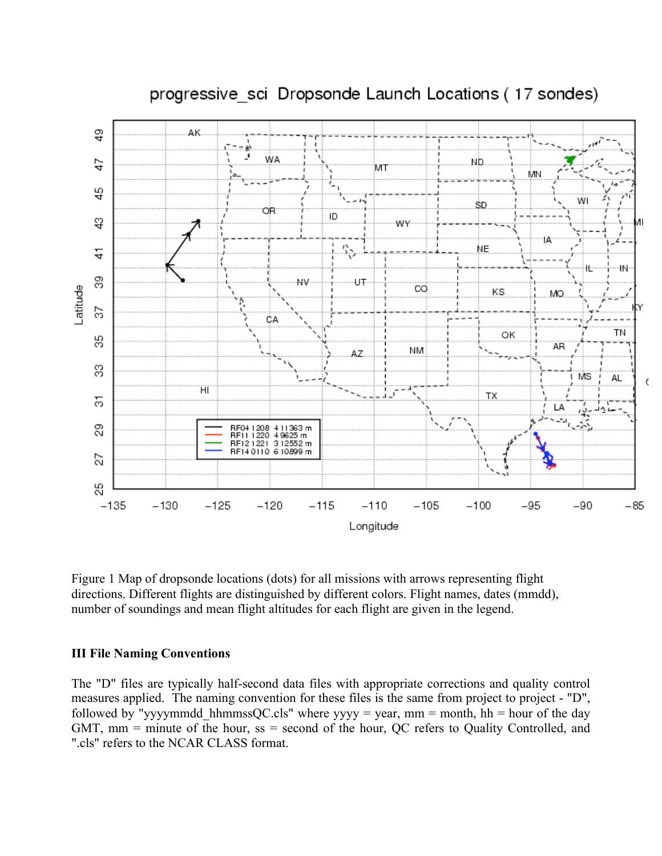

# progressive sci Dropsonde Launch Locations (17 sondes)

Figure 1 Map of dropsonde locations (dots) for all missions with arrows representing flight directions. Different flights are distinguished by different colors. Flight names, dates (mmdd), number of soundings and mean flight altitudes for each flight are given in the legend.

#### **III File Naming Conventions**

The "D" files are typically half-second data files with appropriate corrections and quality control measures applied. The naming convention for these files is the same from project to project - "D", followed by "yyyymmdd\_hhmmssQC.cls" where yyyy = year, mm = month, hh = hour of the day GMT, mm = minute of the hour, ss = second of the hour, QC refers to Quality Controlled, and ".cls" refers to the NCAR CLASS format.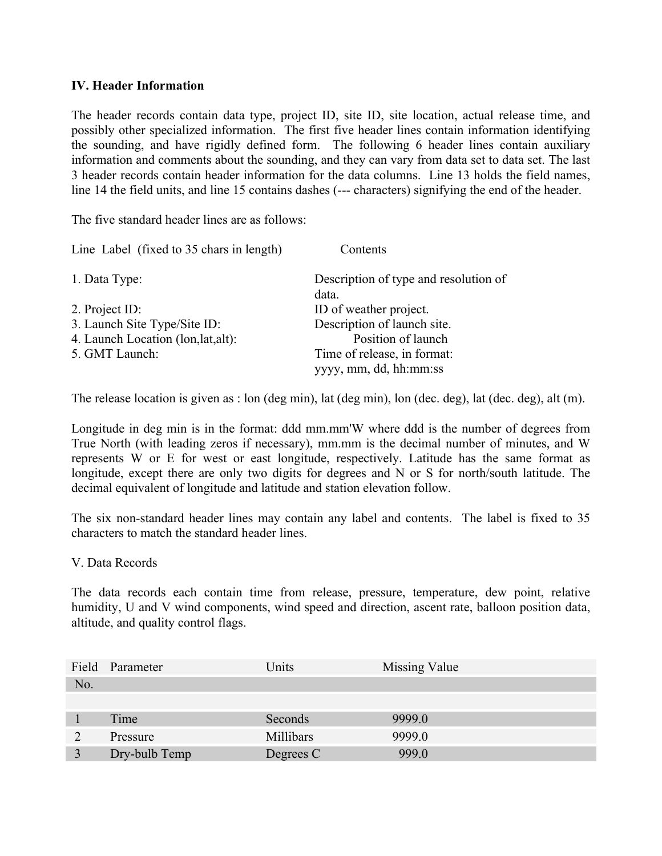#### **IV. Header Information**

The header records contain data type, project ID, site ID, site location, actual release time, and possibly other specialized information. The first five header lines contain information identifying the sounding, and have rigidly defined form. The following 6 header lines contain auxiliary information and comments about the sounding, and they can vary from data set to data set. The last 3 header records contain header information for the data columns. Line 13 holds the field names, line 14 the field units, and line 15 contains dashes (--- characters) signifying the end of the header.

The five standard header lines are as follows:

| Line Label (fixed to 35 chars in length) | Contents                                              |
|------------------------------------------|-------------------------------------------------------|
| 1. Data Type:                            | Description of type and resolution of<br>data.        |
| 2. Project ID:                           | ID of weather project.                                |
| 3. Launch Site Type/Site ID:             | Description of launch site.                           |
| 4. Launch Location (lon, lat, alt):      | Position of launch                                    |
| 5. GMT Launch:                           | Time of release, in format:<br>yyyy, mm, dd, hh:mm:ss |

The release location is given as : lon (deg min), lat (deg min), lon (dec. deg), lat (dec. deg), alt (m).

Longitude in deg min is in the format: ddd mm.mm'W where ddd is the number of degrees from True North (with leading zeros if necessary), mm.mm is the decimal number of minutes, and W represents W or E for west or east longitude, respectively. Latitude has the same format as longitude, except there are only two digits for degrees and N or S for north/south latitude. The decimal equivalent of longitude and latitude and station elevation follow.

The six non-standard header lines may contain any label and contents. The label is fixed to 35 characters to match the standard header lines.

V. Data Records

The data records each contain time from release, pressure, temperature, dew point, relative humidity, U and V wind components, wind speed and direction, ascent rate, balloon position data, altitude, and quality control flags.

| Field     | Parameter     | Units     | Missing Value |  |
|-----------|---------------|-----------|---------------|--|
| No.       |               |           |               |  |
|           |               |           |               |  |
|           | Time          | Seconds   | 9999.0        |  |
| $\bigcap$ | Pressure      | Millibars | 9999.0        |  |
|           | Dry-bulb Temp | Degrees C | 999.0         |  |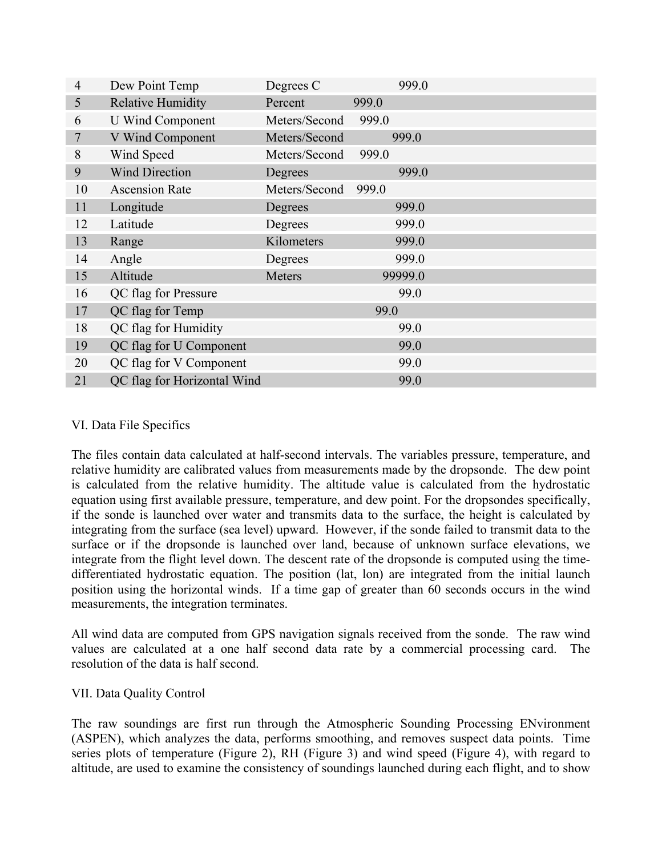| 4              | Dew Point Temp              | Degrees C     | 999.0   |  |
|----------------|-----------------------------|---------------|---------|--|
| 5              | <b>Relative Humidity</b>    | Percent       | 999.0   |  |
| 6              | <b>U</b> Wind Component     | Meters/Second | 999.0   |  |
| $\overline{7}$ | V Wind Component            | Meters/Second | 999.0   |  |
| 8              | Wind Speed                  | Meters/Second | 999.0   |  |
| 9              | <b>Wind Direction</b>       | Degrees       | 999.0   |  |
| 10             | <b>Ascension Rate</b>       | Meters/Second | 999.0   |  |
| 11             | Longitude                   | Degrees       | 999.0   |  |
| 12             | Latitude                    | Degrees       | 999.0   |  |
| 13             | Range                       | Kilometers    | 999.0   |  |
| 14             | Angle                       | Degrees       | 999.0   |  |
| 15             | Altitude                    | Meters        | 99999.0 |  |
| 16             | QC flag for Pressure        |               | 99.0    |  |
| 17             | QC flag for Temp            |               | 99.0    |  |
| 18             | QC flag for Humidity        |               | 99.0    |  |
| 19             | QC flag for U Component     |               | 99.0    |  |
| 20             | QC flag for V Component     |               | 99.0    |  |
| 21             | QC flag for Horizontal Wind |               | 99.0    |  |

## VI. Data File Specifics

The files contain data calculated at half-second intervals. The variables pressure, temperature, and relative humidity are calibrated values from measurements made by the dropsonde. The dew point is calculated from the relative humidity. The altitude value is calculated from the hydrostatic equation using first available pressure, temperature, and dew point. For the dropsondes specifically, if the sonde is launched over water and transmits data to the surface, the height is calculated by integrating from the surface (sea level) upward. However, if the sonde failed to transmit data to the surface or if the dropsonde is launched over land, because of unknown surface elevations, we integrate from the flight level down. The descent rate of the dropsonde is computed using the timedifferentiated hydrostatic equation. The position (lat, lon) are integrated from the initial launch position using the horizontal winds. If a time gap of greater than 60 seconds occurs in the wind measurements, the integration terminates.

All wind data are computed from GPS navigation signals received from the sonde. The raw wind values are calculated at a one half second data rate by a commercial processing card. The resolution of the data is half second.

## VII. Data Quality Control

The raw soundings are first run through the Atmospheric Sounding Processing ENvironment (ASPEN), which analyzes the data, performs smoothing, and removes suspect data points. Time series plots of temperature (Figure 2), RH (Figure 3) and wind speed (Figure 4), with regard to altitude, are used to examine the consistency of soundings launched during each flight, and to show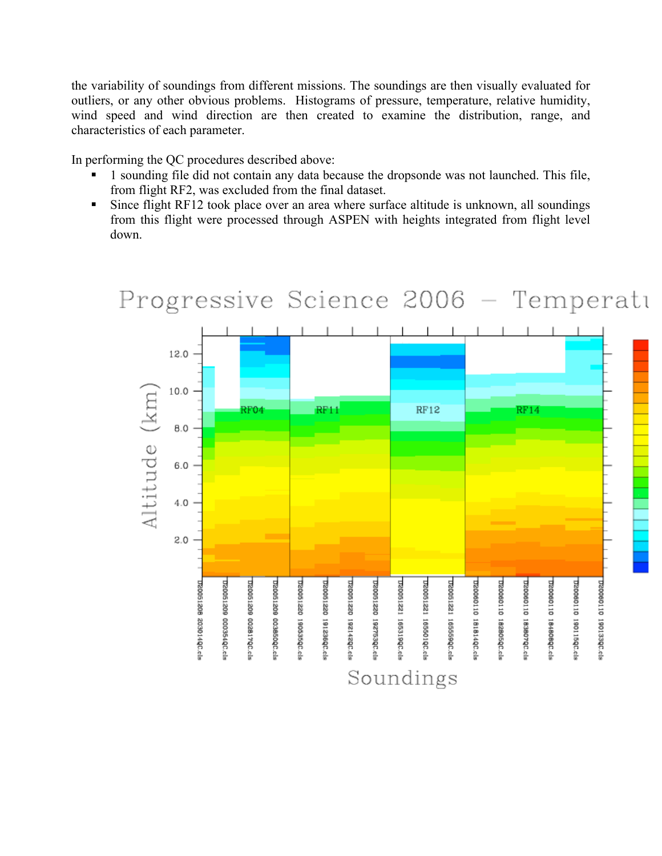the variability of soundings from different missions. The soundings are then visually evaluated for outliers, or any other obvious problems. Histograms of pressure, temperature, relative humidity, wind speed and wind direction are then created to examine the distribution, range, and characteristics of each parameter.

In performing the QC procedures described above:

- § 1 sounding file did not contain any data because the dropsonde was not launched. This file, from flight RF2, was excluded from the final dataset.
- Since flight RF12 took place over an area where surface altitude is unknown, all soundings from this flight were processed through ASPEN with heights integrated from flight level down.

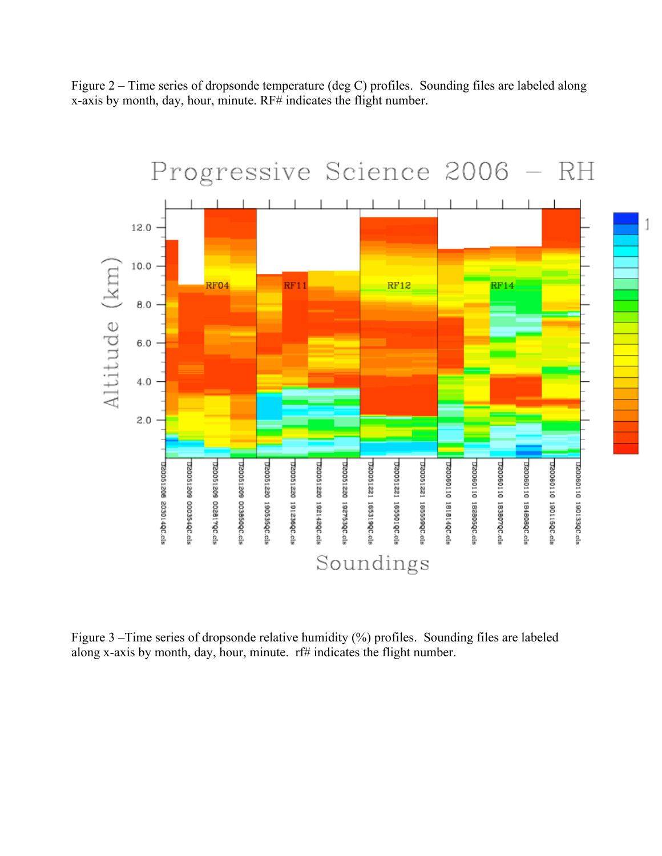Figure 2 – Time series of dropsonde temperature (deg C) profiles. Sounding files are labeled along x-axis by month, day, hour, minute. RF# indicates the flight number.



Figure 3 –Time series of dropsonde relative humidity (%) profiles. Sounding files are labeled along x-axis by month, day, hour, minute. rf# indicates the flight number.